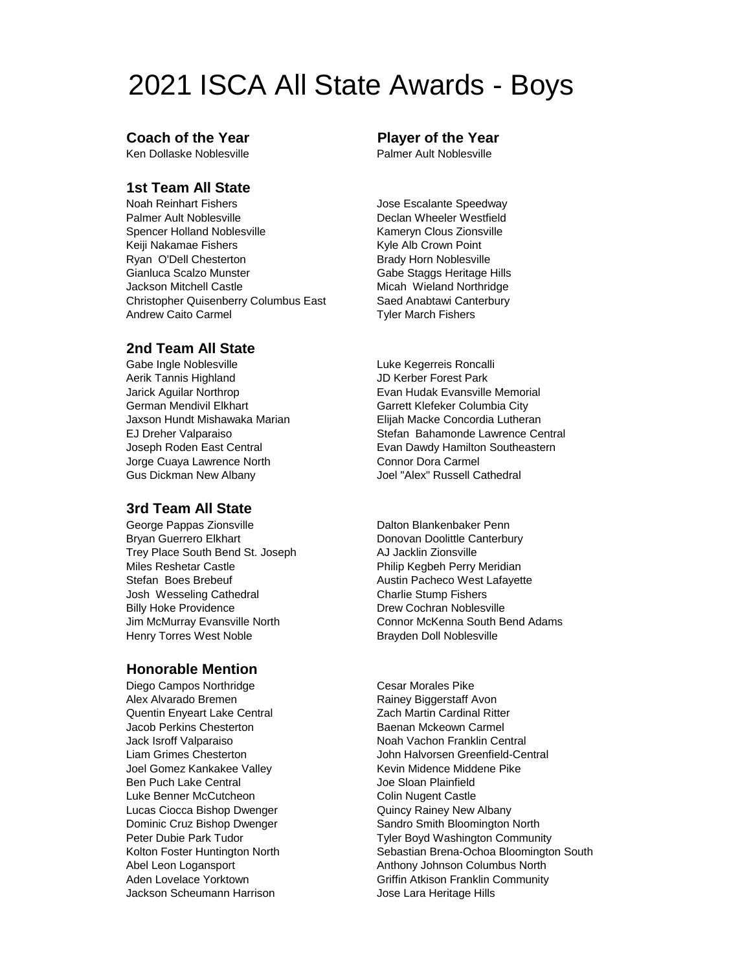# 2021 ISCA All State Awards - Boys

### **Coach of the Year Player of the Year**

Ken Dollaske Noblesville **National State Palmer Ault Noblesville** 

## **1st Team All State**

Noah Reinhart Fishers **Internal Secure 1** Jose Escalante Speedway Palmer Ault Noblesville **National State Controls Controls Palmer Westfield** Spencer Holland Noblesville Kameryn Clous Zionsville Keiji Nakamae Fishers Kyle Alb Crown Point Ryan O'Dell Chesterton **Brady Horn Noblesville** Gianluca Scalzo Munster Gabe Staggs Heritage Hills Jackson Mitchell Castle Micah Wieland Northridge Christopher Quisenberry Columbus East Saed Anabtawi Canterbury Andrew Caito Carmel **Tyler March Fishers** 

### **2nd Team All State**

Gabe Ingle Noblesville **Luke Kegerreis Roncalli** Aerik Tannis Highland **JD Kerber Forest Park** German Mendivil Elkhart Columbia City Garrett Klefeker Columbia City Jorge Cuaya Lawrence North Connor Dora Carmel Gus Dickman New Albany Joel "Alex" Russell Cathedral

### **3rd Team All State**

George Pappas Zionsville **Dalton Blankenbaker Penn** Bryan Guerrero Elkhart **Donovan Doolittle Canterbury** Trey Place South Bend St. Joseph AJ Jacklin Zionsville Miles Reshetar Castle Philip Kegbeh Perry Meridian Stefan Boes Brebeuf **Austin Pacheco West Lafayette** Josh Wesseling Cathedral **Charlie Stump Fishers** Billy Hoke Providence **Drew Cochran Noblesville** Henry Torres West Noble **Brayden Doll Noblesville** 

### **Honorable Mention**

Diego Campos Northridge Cesar Morales Pike Alex Alvarado Bremen Rainey Biggerstaff Avon Quentin Enyeart Lake Central Zach Martin Cardinal Ritter Jacob Perkins Chesterton Baenan Mckeown Carmel Jack Isroff Valparaiso Noah Vachon Franklin Central Joel Gomez Kankakee Valley Kankakee Valley Kevin Midence Middene Pike Ben Puch Lake Central and The Sloan Plainfield Luke Benner McCutcheon Colin Nugent Castle Lucas Ciocca Bishop Dwenger **Quincy Rainey New Albany** Jackson Scheumann Harrison **Jose Lara Heritage Hills** 

Jarick Aguilar Northrop Evan Hudak Evansville Memorial Jaxson Hundt Mishawaka Marian Elijah Macke Concordia Lutheran EJ Dreher Valparaiso **Stefan Bahamonde Lawrence Central** Joseph Roden East Central **Exam Dawdy Hamilton Southeastern** 

Jim McMurray Evansville North Connor McKenna South Bend Adams

Liam Grimes Chesterton John Halvorsen Greenfield-Central Dominic Cruz Bishop Dwenger Sandro Smith Bloomington North Peter Dubie Park Tudor **The Community** Tyler Boyd Washington Community Kolton Foster Huntington North Sebastian Brena-Ochoa Bloomington South Abel Leon Logansport **Anthony Johnson Columbus North** Aden Lovelace Yorktown **Griffin Atkison Franklin Community**